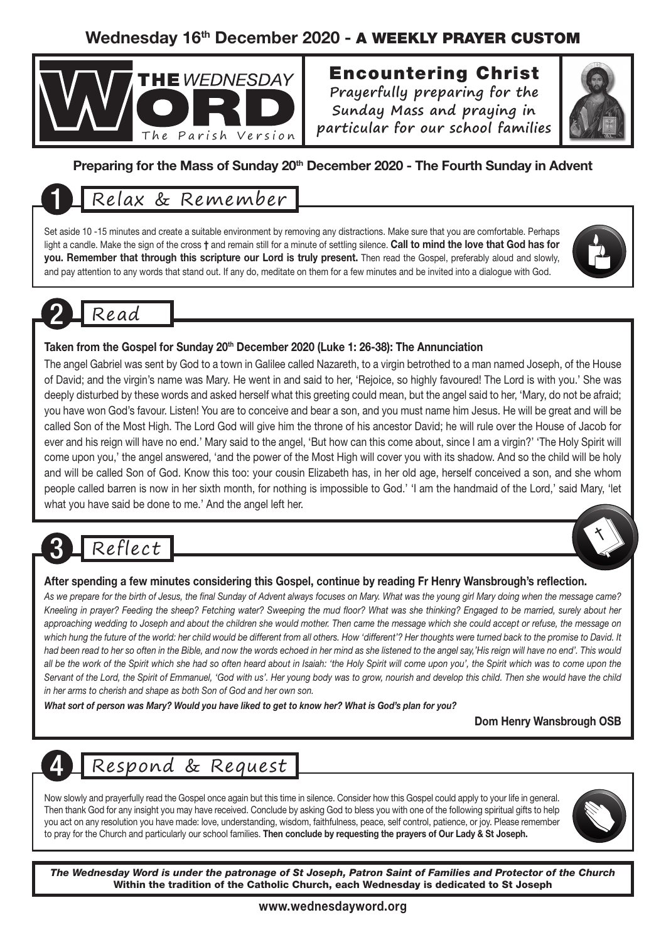### Wednesday 16th December 2020 - A WEEKLY PRAYER CUSTOM



## Encountering Christ

**Prayerfully preparing for the Sunday Mass and praying in particular for our school families**



#### Preparing for the Mass of Sunday 20<sup>th</sup> December 2020 - The Fourth Sunday in Advent

## 1 Relax & Remember

Set aside 10 -15 minutes and create a suitable environment by removing any distractions. Make sure that you are comfortable. Perhaps light a candle. Make the sign of the cross † and remain still for a minute of settling silence. Call to mind the love that God has for you. Remember that through this scripture our Lord is truly present. Then read the Gospel, preferably aloud and slowly, and pay attention to any words that stand out. If any do, meditate on them for a few minutes and be invited into a dialogue with God.



## 2 Read

#### Taken from the Gospel for Sunday 20<sup>th</sup> December 2020 (Luke 1: 26-38): The Annunciation

The angel Gabriel was sent by God to a town in Galilee called Nazareth, to a virgin betrothed to a man named Joseph, of the House of David; and the virgin's name was Mary. He went in and said to her, 'Rejoice, so highly favoured! The Lord is with you.' She was deeply disturbed by these words and asked herself what this greeting could mean, but the angel said to her, 'Mary, do not be afraid; you have won God's favour. Listen! You are to conceive and bear a son, and you must name him Jesus. He will be great and will be called Son of the Most High. The Lord God will give him the throne of his ancestor David; he will rule over the House of Jacob for ever and his reign will have no end.' Mary said to the angel, 'But how can this come about, since I am a virgin?' 'The Holy Spirit will come upon you,' the angel answered, 'and the power of the Most High will cover you with its shadow. And so the child will be holy and will be called Son of God. Know this too: your cousin Elizabeth has, in her old age, herself conceived a son, and she whom people called barren is now in her sixth month, for nothing is impossible to God.' 'I am the handmaid of the Lord,' said Mary, 'let what you have said be done to me.' And the angel left her.

## Reflect

#### After spending a few minutes considering this Gospel, continue by reading Fr Henry Wansbrough's reflection.

*As we prepare for the birth of Jesus, the final Sunday of Advent always focuses on Mary. What was the young girl Mary doing when the message came? Kneeling in prayer? Feeding the sheep? Fetching water? Sweeping the mud floor? What was she thinking? Engaged to be married, surely about her approaching wedding to Joseph and about the children she would mother. Then came the message which she could accept or refuse, the message on*  which hung the future of the world: her child would be different from all others. How 'different'? Her thoughts were turned back to the promise to David. It *had been read to her so often in the Bible, and now the words echoed in her mind as she listened to the angel say,'His reign will have no end'. This would*  all be the work of the Spirit which she had so often heard about in Isaiah: 'the Holy Spirit will come upon you', the Spirit which was to come upon the *Servant of the Lord, the Spirit of Emmanuel, 'God with us'. Her young body was to grow, nourish and develop this child. Then she would have the child in her arms to cherish and shape as both Son of God and her own son.* 

*What sort of person was Mary? Would you have liked to get to know her? What is God's plan for you?*

Dom Henry Wansbrough OSB

## 4 Respond & Request

Now slowly and prayerfully read the Gospel once again but this time in silence. Consider how this Gospel could apply to your life in general. Then thank God for any insight you may have received. Conclude by asking God to bless you with one of the following spiritual gifts to help you act on any resolution you have made: love, understanding, wisdom, faithfulness, peace, self control, patience, or joy. Please remember to pray for the Church and particularly our school families. Then conclude by requesting the prayers of Our Lady & St Joseph.



*The Wednesday Word is under the patronage of St Joseph, Patron Saint of Families and Protector of the Church* Within the tradition of the Catholic Church, each Wednesday is dedicated to St Joseph